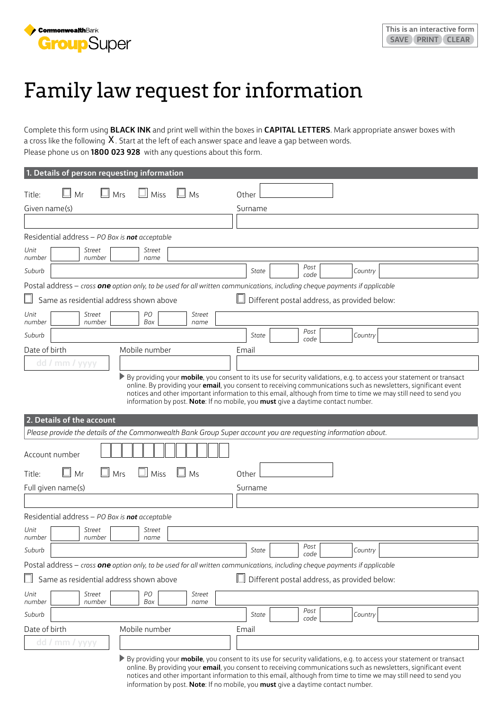

## Family law request for information

Complete this form using **BLACK INK** and print well within the boxes in **CAPITAL LETTERS**. Mark appropriate answer boxes with a cross like the following  $X$ . Start at the left of each answer space and leave a gap between words. Please phone us on **1800 023 928** with any questions about this form.

| 1. Details of person requesting information                                                                                |                                                                                                                                                                                                                                                           |
|----------------------------------------------------------------------------------------------------------------------------|-----------------------------------------------------------------------------------------------------------------------------------------------------------------------------------------------------------------------------------------------------------|
| Mr<br>Mrs<br>Miss<br>Title:<br>Ms                                                                                          | Other                                                                                                                                                                                                                                                     |
| Given name(s)                                                                                                              | Surname                                                                                                                                                                                                                                                   |
|                                                                                                                            |                                                                                                                                                                                                                                                           |
| Residential address - PO Box is not acceptable                                                                             |                                                                                                                                                                                                                                                           |
| Unit<br>Street<br>Street<br>number<br>number<br>name                                                                       |                                                                                                                                                                                                                                                           |
| Suburb                                                                                                                     | Post<br>Country<br>State<br>code                                                                                                                                                                                                                          |
| Postal address - cross one option only, to be used for all written communications, including cheque payments if applicable |                                                                                                                                                                                                                                                           |
| Same as residential address shown above                                                                                    | Different postal address, as provided below:                                                                                                                                                                                                              |
| PO<br>Unit<br>Street<br>Street<br>number<br>number<br>Box<br>name                                                          |                                                                                                                                                                                                                                                           |
| Suburb                                                                                                                     | Post<br>State<br>Country<br>code                                                                                                                                                                                                                          |
| Mobile number<br>Date of birth                                                                                             | Email                                                                                                                                                                                                                                                     |
| dd / mm /<br>yyyy                                                                                                          |                                                                                                                                                                                                                                                           |
| 2. Details of the account                                                                                                  | notices and other important information to this email, although from time to time we may still need to send you<br>information by post. Note: If no mobile, you must give a daytime contact number.                                                       |
| Please provide the details of the Commonwealth Bank Group Super account you are requesting information about.              |                                                                                                                                                                                                                                                           |
| Account number                                                                                                             |                                                                                                                                                                                                                                                           |
| $\mathbb{L}$ Mr<br>Mrs<br>Miss<br>Ms<br>Title:                                                                             | Other                                                                                                                                                                                                                                                     |
| Full given name(s)                                                                                                         | Surname                                                                                                                                                                                                                                                   |
|                                                                                                                            |                                                                                                                                                                                                                                                           |
| Residential address - PO Box is not acceptable                                                                             |                                                                                                                                                                                                                                                           |
| Unit<br>Street<br>Street<br>number<br>number<br>name                                                                       |                                                                                                                                                                                                                                                           |
| Suburb                                                                                                                     | Post<br>Country<br>State<br>code                                                                                                                                                                                                                          |
| Postal address - cross one option only, to be used for all written communications, including cheque payments if applicable |                                                                                                                                                                                                                                                           |
| Same as residential address shown above                                                                                    | Different postal address, as provided below:                                                                                                                                                                                                              |
| Unit<br>PО<br><b>Street</b><br>Street<br>Box<br>number<br>number<br>name                                                   |                                                                                                                                                                                                                                                           |
| Suburb                                                                                                                     | Post<br>Country<br>State<br>code                                                                                                                                                                                                                          |
| Date of birth<br>Mobile number                                                                                             | Email                                                                                                                                                                                                                                                     |
| dd / mm / yyyy                                                                                                             |                                                                                                                                                                                                                                                           |
|                                                                                                                            | ▶ By providing your <b>mobile</b> , you consent to its use for security validations, e.g. to access your statement or transact<br>online. By providing your <b>email</b> , you consent to receiving communications such as newsletters, significant event |

online. By providing your **email**, you consent to receiving communications such as newsletters, significant event notices and other important information to this email, although from time to time we may still need to send you information by post. **Note**: If no mobile, you **must** give a daytime contact number.